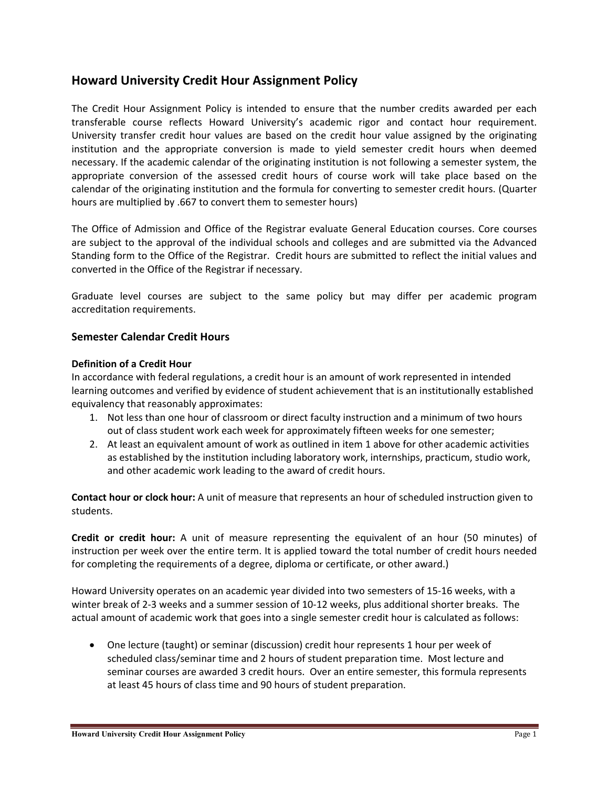## **Howard University Credit Hour Assignment Policy**

 The Credit Hour Assignment Policy is intended to ensure that the number credits awarded per each transferable course reflects Howard University's academic rigor and contact hour requirement. University transfer credit hour values are based on the credit hour value assigned by the originating institution and the appropriate conversion is made to yield semester credit hours when deemed necessary. If the academic calendar of the originating institution is not following a semester system, the appropriate conversion of the assessed credit hours of course work will take place based on the calendar of the originating institution and the formula for converting to semester credit hours. (Quarter hours are multiplied by .667 to convert them to semester hours)

 The Office of Admission and Office of the Registrar evaluate General Education courses. Core courses are subject to the approval of the individual schools and colleges and are submitted via the Advanced Standing form to the Office of the Registrar. Credit hours are submitted to reflect the initial values and converted in the Office of the Registrar if necessary.

 Graduate level courses are subject to the same policy but may differ per academic program accreditation requirements.

## **Semester Calendar Credit Hours**

## **Definition of a Credit Hour**

 In accordance with federal regulations, a credit hour is an amount of work represented in intended learning outcomes and verified by evidence of student achievement that is an institutionally established equivalency that reasonably approximates:

- 1. Not less than one hour of classroom or direct faculty instruction and a minimum of two hours out of class student work each week for approximately fifteen weeks for one semester;
- 2. At least an equivalent amount of work as outlined in item 1 above for other academic activities as established by the institution including laboratory work, internships, practicum, studio work, and other academic work leading to the award of credit hours.

 **Contact hour or clock hour:** A unit of measure that represents an hour of scheduled instruction given to students.

 **Credit or credit hour:** A unit of measure representing the equivalent of an hour (50 minutes) of instruction per week over the entire term. It is applied toward the total number of credit hours needed for completing the requirements of a degree, diploma or certificate, or other award.)

 Howard University operates on an academic year divided into two semesters of 15‐16 weeks, with a winter break of 2‐3 weeks and a summer session of 10‐12 weeks, plus additional shorter breaks. The actual amount of academic work that goes into a single semester credit hour is calculated as follows:

 One lecture (taught) or seminar (discussion) credit hour represents 1 hour per week of scheduled class/seminar time and 2 hours of student preparation time. Most lecture and seminar courses are awarded 3 credit hours. Over an entire semester, this formula represents at least 45 hours of class time and 90 hours of student preparation.